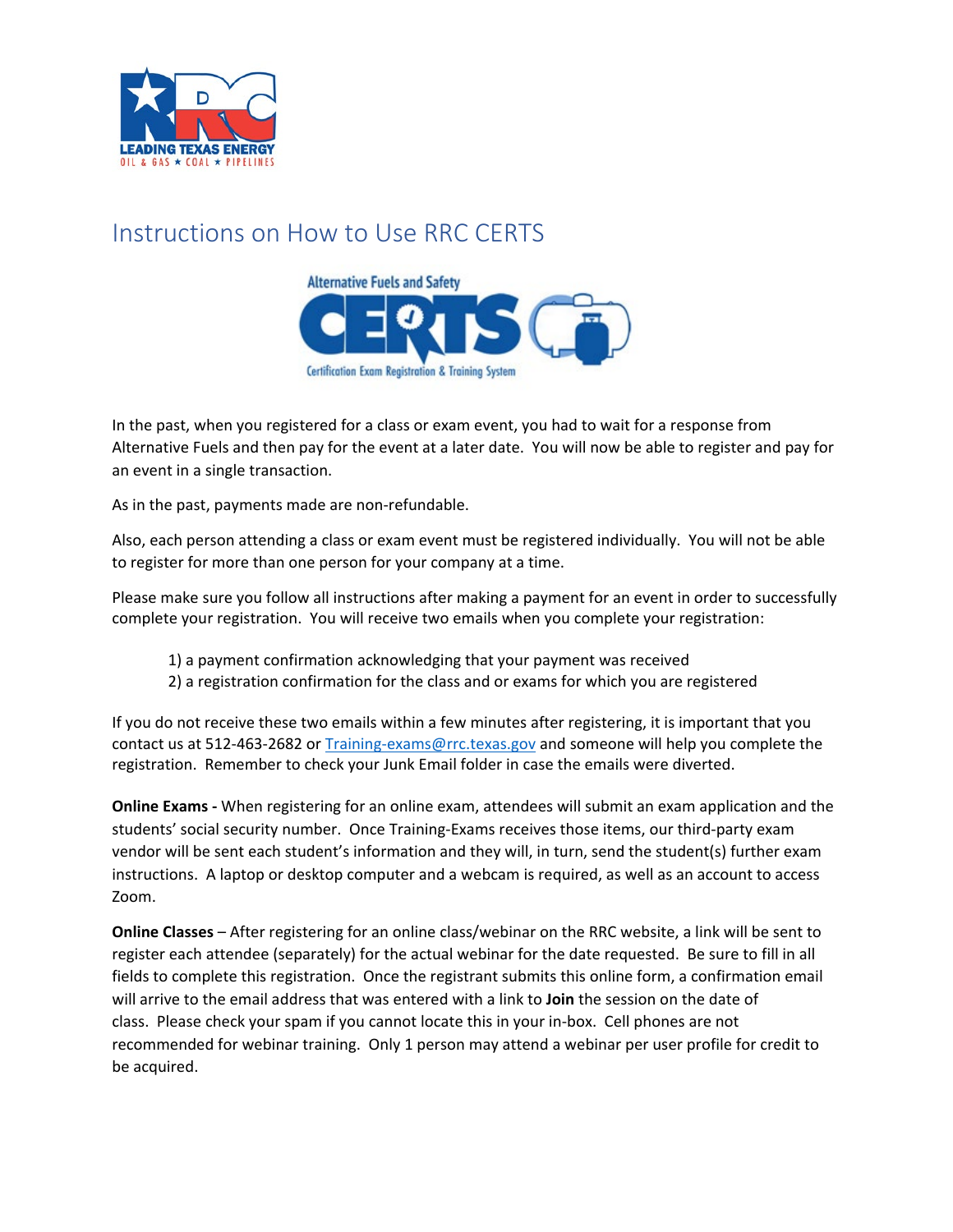

# Instructions on How to Use RRC CERTS



In the past, when you registered for a class or exam event, you had to wait for a response from Alternative Fuels and then pay for the event at a later date. You will now be able to register and pay for an event in a single transaction.

As in the past, payments made are non-refundable.

Also, each person attending a class or exam event must be registered individually. You will not be able to register for more than one person for your company at a time.

Please make sure you follow all instructions after making a payment for an event in order to successfully complete your registration. You will receive two emails when you complete your registration:

- 1) a payment confirmation acknowledging that your payment was received
- 2) a registration confirmation for the class and or exams for which you are registered

If you do not receive these two emails within a few minutes after registering, it is important that you contact us at 512-463-2682 or [Training-exams@rrc.texas.gov](mailto:Training-exams@rrc.texas.gov) and someone will help you complete the registration. Remember to check your Junk Email folder in case the emails were diverted.

**Online Exams -** When registering for an online exam, attendees will submit an exam application and the students' social security number. Once Training-Exams receives those items, our third-party exam vendor will be sent each student's information and they will, in turn, send the student(s) further exam instructions. A laptop or desktop computer and a webcam is required, as well as an account to access Zoom.

**Online Classes** – After registering for an online class/webinar on the RRC website, a link will be sent to register each attendee (separately) for the actual webinar for the date requested. Be sure to fill in all fields to complete this registration. Once the registrant submits this online form, a confirmation email will arrive to the email address that was entered with a link to **Join** the session on the date of class. Please check your spam if you cannot locate this in your in-box. Cell phones are not recommended for webinar training. Only 1 person may attend a webinar per user profile for credit to be acquired.